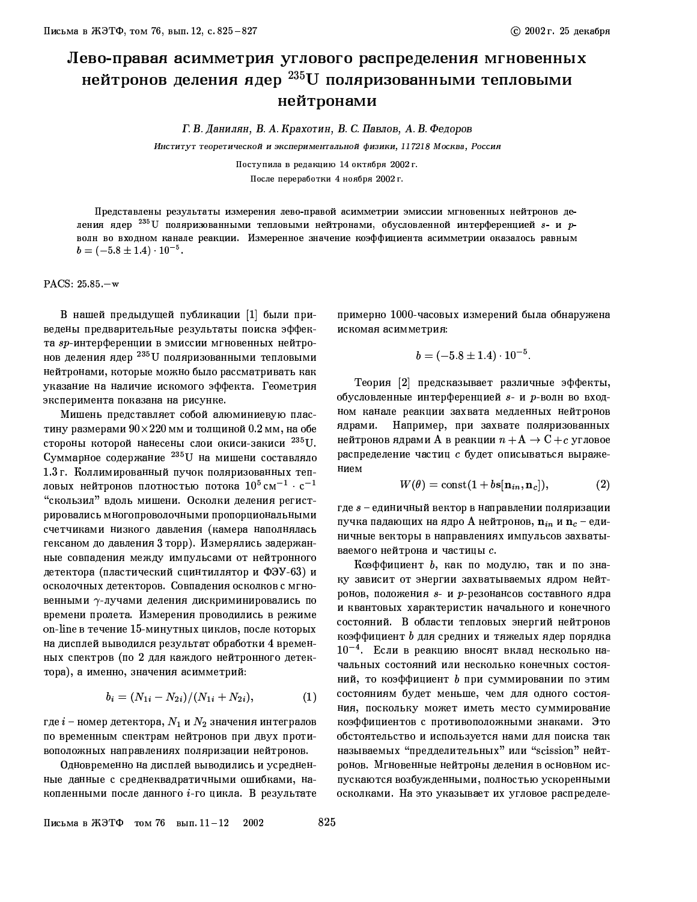## Лево-правая асимметрия углового распределения мгновенных нейтронов деления ядер<sup>235</sup> U поляризованными тепловыми нейтронами

Г. В. Данилян, В. А. Крахотин, В. С. Павлов, А. В. Федоров

Институт теоретической и экспериментальной физики, 117218 Москва, Россия

Поступила в редакцию 14 октября 2002 г. После переработки 4 ноября 2002 г.

Представлены результаты измерения лево-правой асимметрии эмиссии мгновенных нейтронов деления ядер <sup>235</sup>U поляризованными тепловыми нейтронами, обусловленной интерференцией s- и pволн во входном канале реакции. Измеренное значение коэффициента асимметрии оказалось равным  $b = (-5.8 \pm 1.4) \cdot 10^{-5}$ .

PACS: 25.85 -w

В нашей предыдущей публикации [1] были приведены предварительные результаты поиска эффекта sp-интерференции в эмиссии мгновенных нейтронов деления ядер <sup>235</sup> U поляризованными тепловыми нейтронами, которые можно было рассматривать как указание на наличие искомого эффекта. Геометрия эксперимента показана на рисунке.

Мишень представляет собой алюминиевую пластину размерами  $90\times220$  мм и толщиной 0.2 мм, на обе стороны которой нанесены слои окиси-закиси 235U. Суммарное содержание <sup>235</sup> U на мишени составляло 1.3 г. Коллимированный пучок поляризованных тепловых нейтронов плотностью потока  $10^5 \text{ cm}^{-1} \cdot \text{c}^{-1}$ "скользил" вдоль мишени. Осколки деления регистрировались многопроволочными пропорциональными счетчиками низкого давления (камера наполнялась гексаном до давления 3 торр). Измерялись задержанные совпадения между импульсами от нейтронного детектора (пластический сцинтиллятор и ФЭУ-63) и осколочных детекторов. Совпадения осколков с мгновенными  $\gamma$ -лучами деления дискриминировались по времени пролета. Измерения проводились в режиме on-line в течение 15-минутных циклов, после которых на дисплей выводился результат обработки 4 временных спектров (по 2 для каждого нейтронного детектора), а именно, значения асимметрий:

$$
b_i = (N_{1i} - N_{2i})/(N_{1i} + N_{2i}), \tag{1}
$$

где  $i$  – номер детектора,  $N_1$  и  $N_2$  значения интегралов по временным спектрам нейтронов при двух противоположных направлениях поляризации нейтронов.

Одновременно на дисплей выводились и усредненные данные с среднеквадратичными ошибками, накопленными после данного  $i$ -го цикла. В результате примерно 1000-часовых измерений была обнаружена искомая асимметрия:

$$
b=(-5.8\pm1.4)\cdot10^{-5}.
$$

Теория [2] предсказывает различные эффекты, обусловленные интерференцией  $s$ - и р-волн во входном канале реакции захвата медленных нейтронов Например, при захвате поляризованных ядрами. нейтронов ядрами А в реакции  $n + A \rightarrow C + c$  угловое распределение частиц с будет описываться выражением

$$
W(\theta) = \text{const}(1 + b\mathbf{s}[\mathbf{n}_{in}, \mathbf{n}_c]),\tag{2}
$$

где  $s$  - единичный вектор в направлении поляризации пучка падающих на ядро А нейтронов,  $\mathbf{n}_{in}$  и  $\mathbf{n}_{c}$  – единичные векторы в направлениях импульсов захватываемого нейтрона и частицы с.

Коэффициент  $b$ , как по модулю, так и по знаку зависит от энергии захватываемых ядром нейтронов, положения  $s$ - и р-резонансов составного ядра и квантовых характеристик начального и конечного состояний. В области тепловых энергий нейтронов коэффициент b для средних и тяжелых ядер порядка  $10^{-4}$ . Если в реакцию вносят вклад несколько начальных состояний или несколько конечных состояний, то коэффициент  $b$  при суммировании по этим состояниям будет меньше, чем для одного состояния, поскольку может иметь место суммирование коэффициентов с противоположными знаками. Это обстоятельство и используется нами для поиска так называемых "предделительных" или "scission" нейтронов. Мгновенные нейтроны деления в основном испускаются возбужденными, полностью ускоренными осколками. На это указывает их угловое распределе-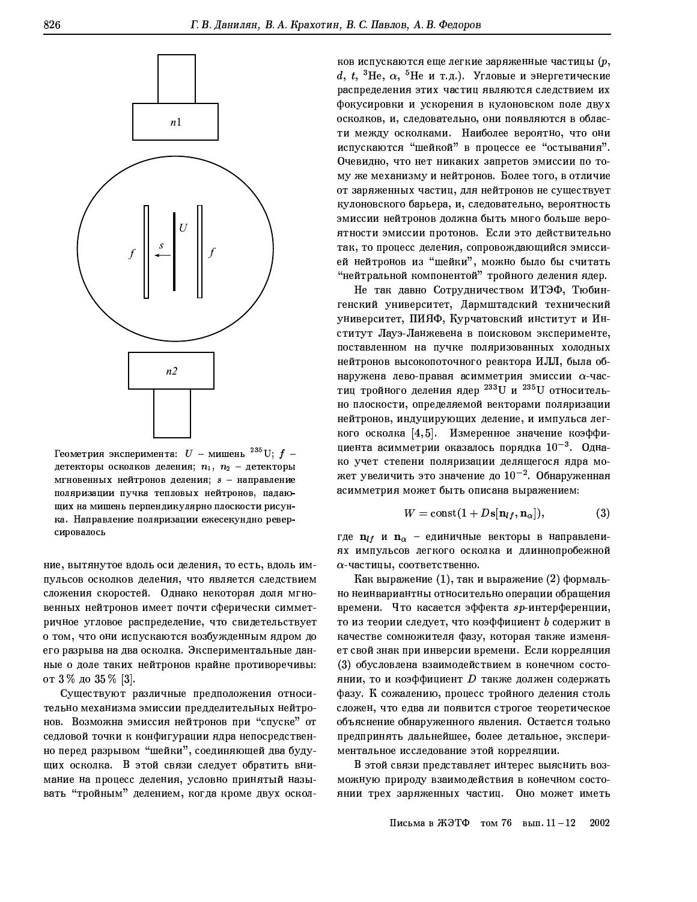

Геометрия эксперимента:  $U$  – мишень  $^{235}$ U;  $f$  – детекторы осколков деления;  $n_1$ ,  $n_2$  - детекторы мгновенных нейтронов деления;  $s$  - направление поляризации пучка тепловых нейтронов, падающих на мишень перпендикулярно плоскости рисунка. Направление поляризации ежесекундно реверсировалось

ние, вытянутое вдоль оси деления, то есть, вдоль импульсов осколков деления, что является следствием сложения скоростей. Однако некоторая доля мгновенных нейтронов имеет почти сферически симметричное угловое распределение, что свидетельствует о том, что они испускаются возбужденным ядром до его разрыва на два осколка. Экспериментальные данные о доле таких нейтронов крайне противоречивы: от 3 % до 35 % [3].

Существуют различные предположения относительно механизма эмиссии предделительных нейтронов. Возможна эмиссия нейтронов при "спуске" от седловой точки к конфигурации ядра непосредственно перед разрывом "шейки", соединяющей два будущих осколка. В этой связи следует обратить внимание на процесс деления, условно принятый называть "тройным" делением, когда кроме двух осколков испускаются еще легкие заряженные частицы  $(p, p)$ d, t, <sup>3</sup>He,  $\alpha$ , <sup>5</sup>He и т.д.). Угловые и энергетические распределения этих частиц являются следствием их фокусировки и ускорения в кулоновском поле двух осколков, и, следовательно, они появляются в области между осколками. Наиболее вероятно, что они испускаются "шейкой" в процессе ее "остывания". Очевидно, что нет никаких запретов эмиссии по тому же механизму и нейтронов. Более того, в отличие от заряженных частиц, для нейтронов не существует кулоновского барьера, и, следовательно, вероятность эмиссии нейтронов должна быть много больше вероятности эмиссии протонов. Если это действительно так, то процесс деления, сопровождающийся эмиссией нейтронов из "шейки", можно было бы считать "нейтральной компонентой" тройного деления ядер.

Не так давно Сотрудничеством ИТЭФ, Тюбингенский университет, Дармштадский технический университет, ПИЯФ, Курчатовский институт и Институт Лауэ-Ланжевена в поисковом эксперименте, поставленном на пучке поляризованных холодных нейтронов высокопоточного реактора ИЛЛ, была обнаружена лево-правая асимметрия эмиссии  $\alpha$ -частиц тройного деления ядер 233 U и 235 U относительно плоскости, определяемой векторами поляризации нейтронов, индуцирующих деление, и импульса легкого осколка [4,5]. Измеренное значение коэффициента асимметрии оказалось порядка  $10^{-3}$ . Однако учет степени поляризации делящегося ядра может увеличить это значение до  $10^{-2}$ . Обнаруженная асимметрия может быть описана выражением:

$$
W = \text{const}(1 + D\mathbf{s}[\mathbf{n}_{lf}, \mathbf{n}_{\alpha}]),\tag{3}
$$

где  $\mathbf{n}_{lf}$  и  $\mathbf{n}_{\alpha}$  - единичные векторы в направлениях импульсов легкого осколка и длиннопробежной  $\alpha$ -частицы, соответственно.

Как выражение  $(1)$ , так и выражение  $(2)$  формально неинвариантны относительно операции обращения времени. Что касается эффекта sp-интерференции, то из теории следует, что коэффициент  $\bm{b}$  содержит в качестве сомножителя фазу, которая также изменяет свой знак при инверсии времени. Если корреляция (3) обусловлена взаимодействием в конечном состоянии, то и коэффициент  $D$  также должен содержать фазу. К сожалению, процесс тройного деления столь сложен, что едва ли появится строгое теоретическое объяснение обнаруженного явления. Остается только предпринять дальнейшее, более детальное, экспериментальное исследование этой корреляции.

В этой связи представляет интерес выяснить возможную природу взаимодействия в конечном состоянии трех заряженных частиц. Оно может иметь